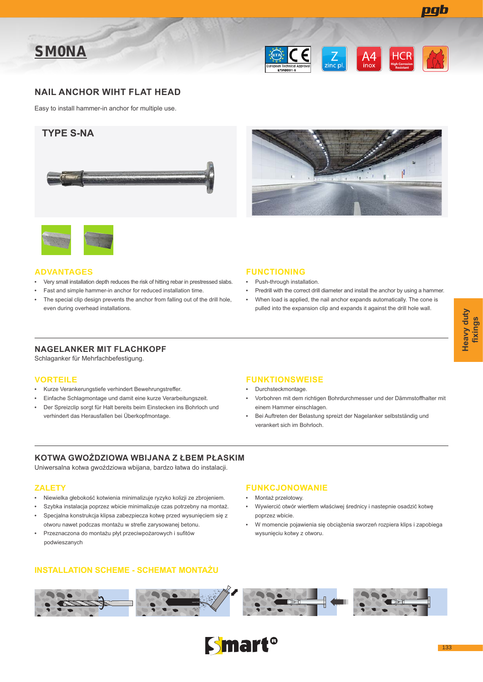





## **NAIL ANCHOR WIHT FLAT HEAD**

Easy to install hammer-in anchor for multiple use.







### **ADVANTAGES**

- Very small installation depth reduces the risk of hitting rebar in prestressed slabs.
- Fast and simple hammer-in anchor for reduced installation time.
- The special clip design prevents the anchor from falling out of the drill hole, even during overhead installations.

### **FUNCTIONING**

- Push-through installation.
- Predrill with the correct drill diameter and install the anchor by using a hammer.
- When load is applied, the nail anchor expands automatically. The cone is pulled into the expansion clip and expands it against the drill hole wall.

# **NAGELANKER MIT FLACHKOPF**

Schlaganker für Mehrfachbefestigung.

### **VORTEILE**

- Kurze Verankerungstiefe verhindert Bewehrungstreffer.
- Einfache Schlagmontage und damit eine kurze Verarbeitungszeit.
- Der Spreizclip sorgt für Halt bereits beim Einstecken ins Bohrloch und verhindert das Herausfallen bei Überkopfmontage.

### **FUNKTIONSWEISE**

- Durchsteckmontage.
- Vorbohren mit dem richtigen Bohrdurchmesser und der Dämmstoffhalter mit einem Hammer einschlagen.
- Bei Auftreten der Belastung spreizt der Nagelanker selbstständig und verankert sich im Bohrloch.

### **KOTWA GWOŻDZIOWA WBIJANA Z ŁBEM PŁASKIM**

Uniwersalna kotwa gwoździowa wbijana, bardzo łatwa do instalacji.

### **ZALETY**

- Niewielka głebokość kotwienia minimalizuje ryzyko kolizji ze zbrojeniem.
- Szybka instalacja poprzez wbicie minimalizuje czas potrzebny na montaż.
- Specjalna konstrukcja klipsa zabezpiecza kotwę przed wysunięciem się z otworu nawet podczas montażu w strefie zarysowanej betonu.
- Przeznaczona do montażu płyt przeciwpożarowych i sufitów podwieszanych

# **FUNKCJONOWANIE**

- Montaż przelotowy.
- Wywiercić otwór wiertłem właściwej średnicy i nastepnie osadzić kotwę poprzez wbicie.
- W momencie pojawienia się obciążenia sworzeń rozpiera klips i zapobiega wysunięciu kotwy z otworu.

### **INSTALLATION SCHEME - SCHEMAT MONTAŻU**



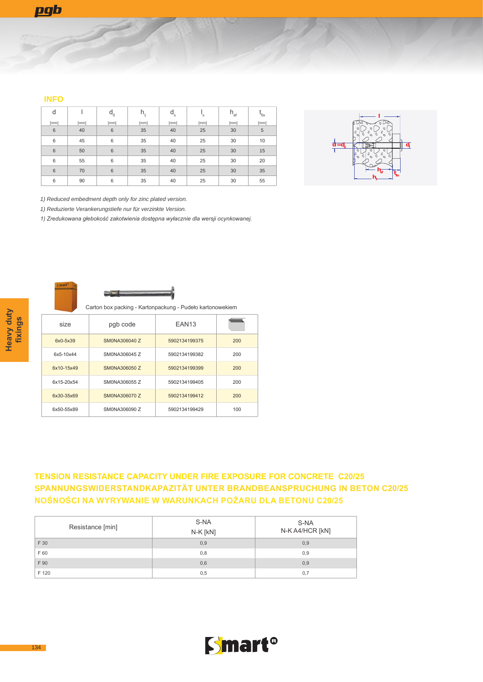### **INFO**

| d               |      | $d_0$ | h,   | $d_{s}$ | 's   | $h_{\text{ef}}$ | $\mathbf{f}_{\text{fix}}$ |
|-----------------|------|-------|------|---------|------|-----------------|---------------------------|
| [mm]            | [mm] | [mm]  | [mm] | [mm]    | [mm] | [mm]            | [mm]                      |
| $6\phantom{1}6$ | 40   | 6     | 35   | 40      | 25   | 30              | 5                         |
| 6               | 45   | 6     | 35   | 40      | 25   | 30              | 10                        |
| $6\phantom{1}6$ | 50   | 6     | 35   | 40      | 25   | 30              | 15                        |
| 6               | 55   | 6     | 35   | 40      | 25   | 30              | 20                        |
| 6               | 70   | 6     | 35   | 40      | 25   | 30              | 35                        |
| 6               | 90   | 6     | 35   | 40      | 25   | 30              | 55                        |



*1) Reduced embedment depth only for zinc plated version.*

*1) Reduzierte Verankerungstiefe nur für verzinkte Version.*

*1) Zredukowana głebokość zakotwienia dostępna wyłacznie dla wersji ocynkowanej.*



Carton box packing - Kartonpackung - Pudeło kartonowekiem

| size         | pgb code      | EAN <sub>13</sub> |     |
|--------------|---------------|-------------------|-----|
| $6x0 - 5x39$ | SM0NA306040 Z | 5902134199375     | 200 |
| 6x5-10x44    | SM0NA306045 Z | 5902134199382     | 200 |
| 6x10-15x49   | SM0NA306050 Z | 5902134199399     | 200 |
| 6x15-20x54   | SM0NA306055 Z | 5902134199405     | 200 |
| 6x30-35x69   | SM0NA306070 Z | 5902134199412     | 200 |
| 6x50-55x89   | SM0NA306090 Z | 5902134199429     | 100 |

# **TENSION RESISTANCE CAPACITY UNDER FIRE EXPOSURE FOR CONCRETE C20/25 SPANNUNGSWIDERSTANDKAPAZITÄT UNTER BRANDBEANSPRUCHUNG IN BETON C20/25 NOŚNOŚCI NA WYRYWANIE W WARUNKACH POŻARU DLA BETONU C20/25**

| Resistance [min] | S-NA<br>N-K [kN] | S-NA<br>N-K A4/HCR [kN] |
|------------------|------------------|-------------------------|
| F 30             | 0,9              | 0,9                     |
| F 60             | 0,8              | 0,9                     |
| F 90             | 0,6              | 0,9                     |
| F 120            | 0,5              | 0,7                     |